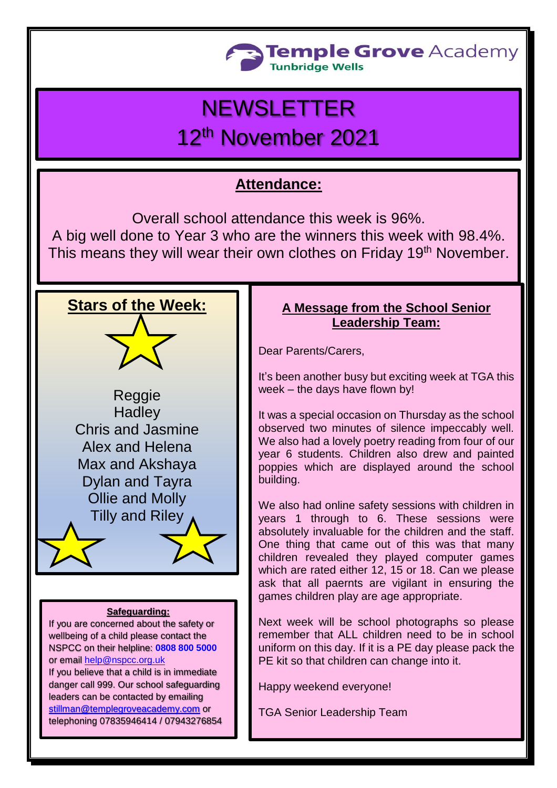

# **NEWSLETTER**

# 12th November 2021

# **Attendance:**

Overall school attendance this week is 96%. A big well done to Year 3 who are the winners this week with 98.4%. This means they will wear their own clothes on Friday 19<sup>th</sup> November.



Reggie **Hadley** Chris and Jasmine Alex and Helena Max and Akshaya Dylan and Tayra Ollie and Molly Tilly and Riley

#### **Safeguarding:**

If you are concerned about the safety or wellbeing of a child please contact the NSPCC on their helpline: **[0808 800 5000](tel:08088005000)** or email [help@nspcc.org.uk](mailto:help@nspcc.org.uk)

If you believe that a child is in immediate danger call 999. Our school safeguarding leaders can be contacted by emailing [stillman@templegroveacademy.com](mailto:stillman@templegroveacademy.com) or telephoning 07835946414 / 07943276854

## **A Message from the School Senior Leadership Team:**

Dear Parents/Carers,

It's been another busy but exciting week at TGA this week – the days have flown by!

It was a special occasion on Thursday as the school observed two minutes of silence impeccably well. We also had a lovely poetry reading from four of our year 6 students. Children also drew and painted poppies which are displayed around the school building.

We also had online safety sessions with children in years 1 through to 6. These sessions were absolutely invaluable for the children and the staff. One thing that came out of this was that many children revealed they played computer games which are rated either 12, 15 or 18. Can we please ask that all paernts are vigilant in ensuring the games children play are age appropriate.

Next week will be school photographs so please remember that ALL children need to be in school uniform on this day. If it is a PE day please pack the PE kit so that children can change into it.

Happy weekend everyone!

TGA Senior Leadership Team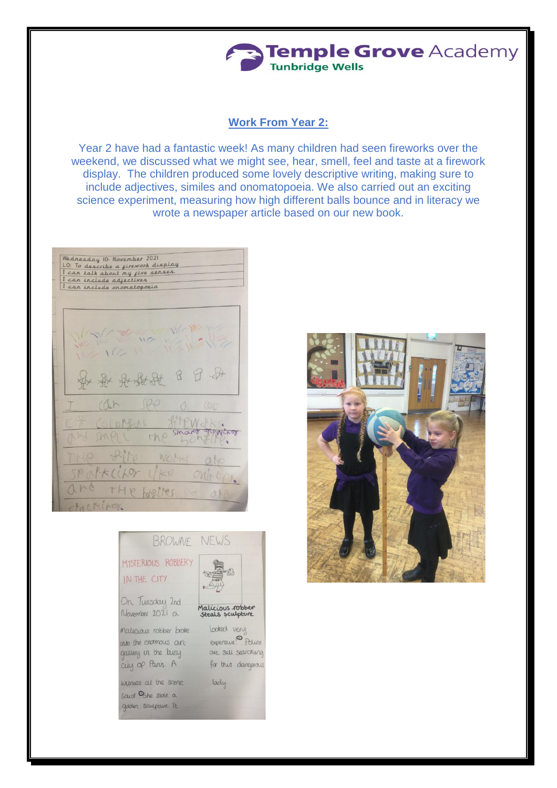# Temple Grove Academy **Tunbridge Wells**

### **Work From Year 2:**

Year 2 have had a fantastic week! As many children had seen fireworks over the weekend, we discussed what we might see, hear, smell, feel and taste at a firework display. The children produced some lovely descriptive writing, making sure to include adjectives, similes and onomatopoeia. We also carried out an exciting science experiment, measuring how high different balls bounce and in literacy we wrote a newspaper article based on our new book.

Wednesday 10- November 2021 meanesday (15 November 2021)<br>LO: To describe a firework display<br>I can talk about my five senses.<br>I can include adjectives I can include oromatopoeia THE WE WANTED \* \* \* \* \* 8  $9 - 14$  $(\sqrt{h})$  $P\rho$ filmotks. Stractor **STOWLADY** SMPLL the  $Rip$ WOM Palkcifor  $1kV$  $211 - 1$  $1h$ THP Laller



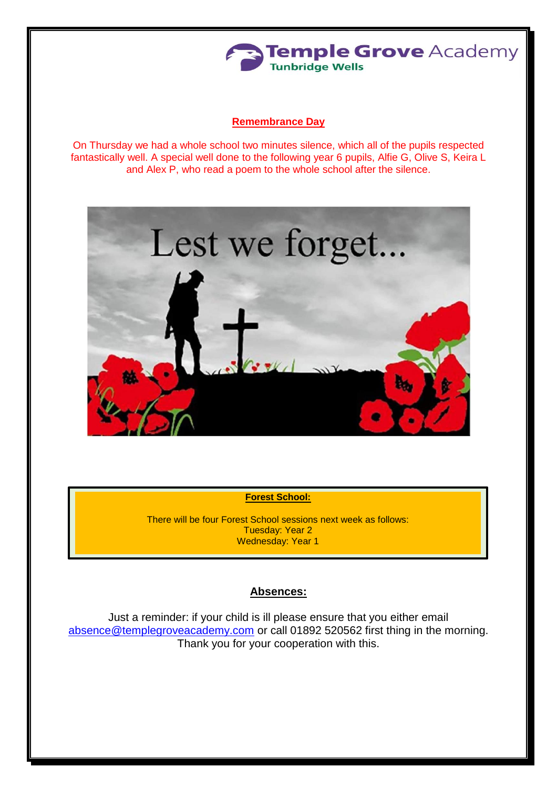

#### **Remembrance Day**

On Thursday we had a whole school two minutes silence, which all of the pupils respected fantastically well. A special well done to the following year 6 pupils, Alfie G, Olive S, Keira L and Alex P, who read a poem to the whole school after the silence.



**Forest School:**

There will be four Forest School sessions next week as follows: Tuesday: Year 2 Wednesday: Year 1

#### **Absences:**

Just a reminder: if your child is ill please ensure that you either email [absence@templegroveacademy.com](mailto:absence@templegroveacademy.com) or call 01892 520562 first thing in the morning. Thank you for your cooperation with this.